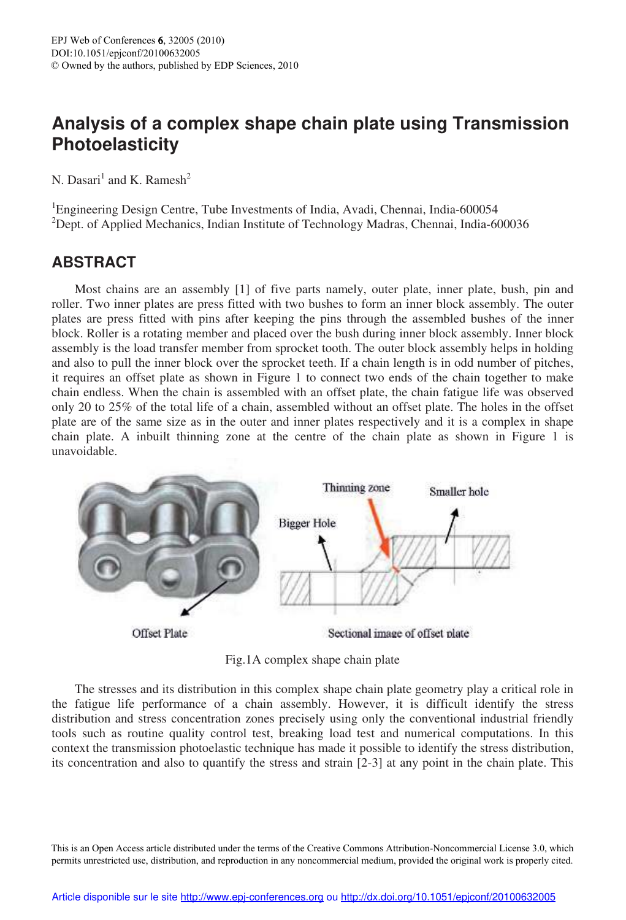## **Analysis of a complex shape chain plate using Transmission Photoelasticity**

N. Dasari<sup>1</sup> and K. Ramesh<sup>2</sup>

<sup>1</sup>Engineering Design Centre, Tube Investments of India, Avadi, Chennai, India-600054 <sup>2</sup>Dept. of Applied Mechanics, Indian Institute of Technology Madras, Chennai, India-600036

## **ABSTRACT**

Most chains are an assembly [1] of five parts namely, outer plate, inner plate, bush, pin and roller. Two inner plates are press fitted with two bushes to form an inner block assembly. The outer plates are press fitted with pins after keeping the pins through the assembled bushes of the inner block. Roller is a rotating member and placed over the bush during inner block assembly. Inner block assembly is the load transfer member from sprocket tooth. The outer block assembly helps in holding and also to pull the inner block over the sprocket teeth. If a chain length is in odd number of pitches, it requires an offset plate as shown in Figure 1 to connect two ends of the chain together to make chain endless. When the chain is assembled with an offset plate, the chain fatigue life was observed only 20 to 25% of the total life of a chain, assembled without an offset plate. The holes in the offset plate are of the same size as in the outer and inner plates respectively and it is a complex in shape chain plate. A inbuilt thinning zone at the centre of the chain plate as shown in Figure 1 is unavoidable.



Fig.1A complex shape chain plate

The stresses and its distribution in this complex shape chain plate geometry play a critical role in the fatigue life performance of a chain assembly. However, it is difficult identify the stress distribution and stress concentration zones precisely using only the conventional industrial friendly tools such as routine quality control test, breaking load test and numerical computations. In this context the transmission photoelastic technique has made it possible to identify the stress distribution, its concentration and also to quantify the stress and strain [2-3] at any point in the chain plate. This

This is an Open Access article distributed under the terms of the Creative Commons Attribution-Noncommercial License 3.0, which permits unrestricted use, distribution, and reproduction in any noncommercial medium, provided the original work is properly cited.